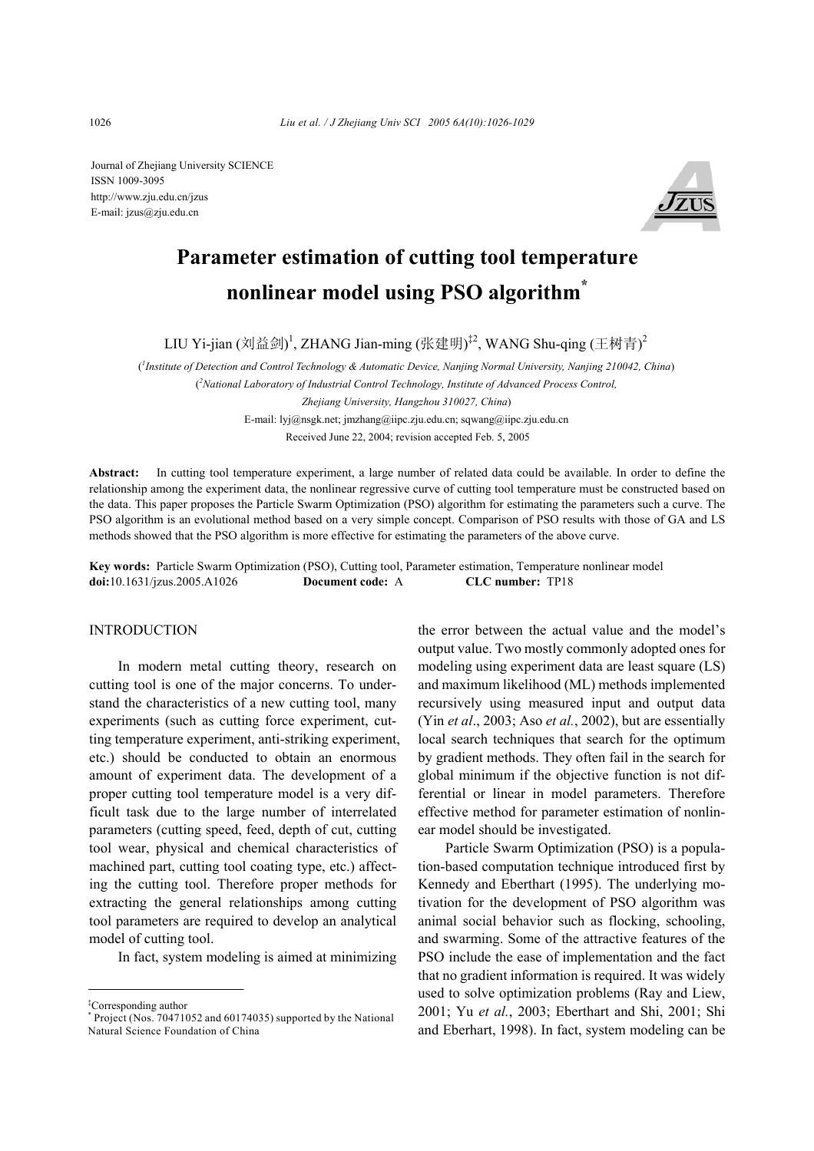Journal of Zhejiang University SCIENCE ISSN 1009-3095 http://www.zju.edu.cn/jzus E-mail: jzus@zju.edu.cn



# **Parameter estimation of cutting tool temperature nonlinear model using PSO algorithm\***

LIU Yi-jian (刘益剑)<sup>1</sup>, ZHANG Jian-ming (张建明)<sup>‡2</sup>, WANG Shu-qing (王树青)<sup>2</sup>

( *1 Institute of Detection and Control Technology & Automatic Device, Nanjing Normal University, Nanjing 210042, China*) ( *2 National Laboratory of Industrial Control Technology, Institute of Advanced Process Control, Zhejiang University, Hangzhou 310027, China*)

E-mail: lyj@nsgk.net; jmzhang@iipc.zju.edu.cn; sqwang@iipc.zju.edu.cn Received June 22, 2004; revision accepted Feb. 5, 2005

**Abstract:** In cutting tool temperature experiment, a large number of related data could be available. In order to define the relationship among the experiment data, the nonlinear regressive curve of cutting tool temperature must be constructed based on the data. This paper proposes the Particle Swarm Optimization (PSO) algorithm for estimating the parameters such a curve. The PSO algorithm is an evolutional method based on a very simple concept. Comparison of PSO results with those of GA and LS methods showed that the PSO algorithm is more effective for estimating the parameters of the above curve.

**Key words:** Particle Swarm Optimization (PSO), Cutting tool, Parameter estimation, Temperature nonlinear model **doi:**10.1631/jzus.2005.A1026 **Document code:** A **CLC number:** TP18

#### INTRODUCTION

In modern metal cutting theory, research on cutting tool is one of the major concerns. To understand the characteristics of a new cutting tool, many experiments (such as cutting force experiment, cutting temperature experiment, anti-striking experiment, etc.) should be conducted to obtain an enormous amount of experiment data. The development of a proper cutting tool temperature model is a very difficult task due to the large number of interrelated parameters (cutting speed, feed, depth of cut, cutting tool wear, physical and chemical characteristics of machined part, cutting tool coating type, etc.) affecting the cutting tool. Therefore proper methods for extracting the general relationships among cutting tool parameters are required to develop an analytical model of cutting tool.

In fact, system modeling is aimed at minimizing

the error between the actual value and the model's output value. Two mostly commonly adopted ones for modeling using experiment data are least square (LS) and maximum likelihood (ML) methods implemented recursively using measured input and output data (Yin *et al*., 2003; Aso *et al.*, 2002), but are essentially local search techniques that search for the optimum by gradient methods. They often fail in the search for global minimum if the objective function is not differential or linear in model parameters. Therefore effective method for parameter estimation of nonlinear model should be investigated.

Particle Swarm Optimization (PSO) is a population-based computation technique introduced first by Kennedy and Eberthart (1995). The underlying motivation for the development of PSO algorithm was animal social behavior such as flocking, schooling, and swarming. Some of the attractive features of the PSO include the ease of implementation and the fact that no gradient information is required. It was widely used to solve optimization problems (Ray and Liew, 2001; Yu *et al.*, 2003; Eberthart and Shi, 2001; Shi and Eberhart, 1998). In fact, system modeling can be

<sup>‡</sup> Corresponding author \* Project (Nos. 70471052 and 60174035) supported by the National Natural Science Foundation of China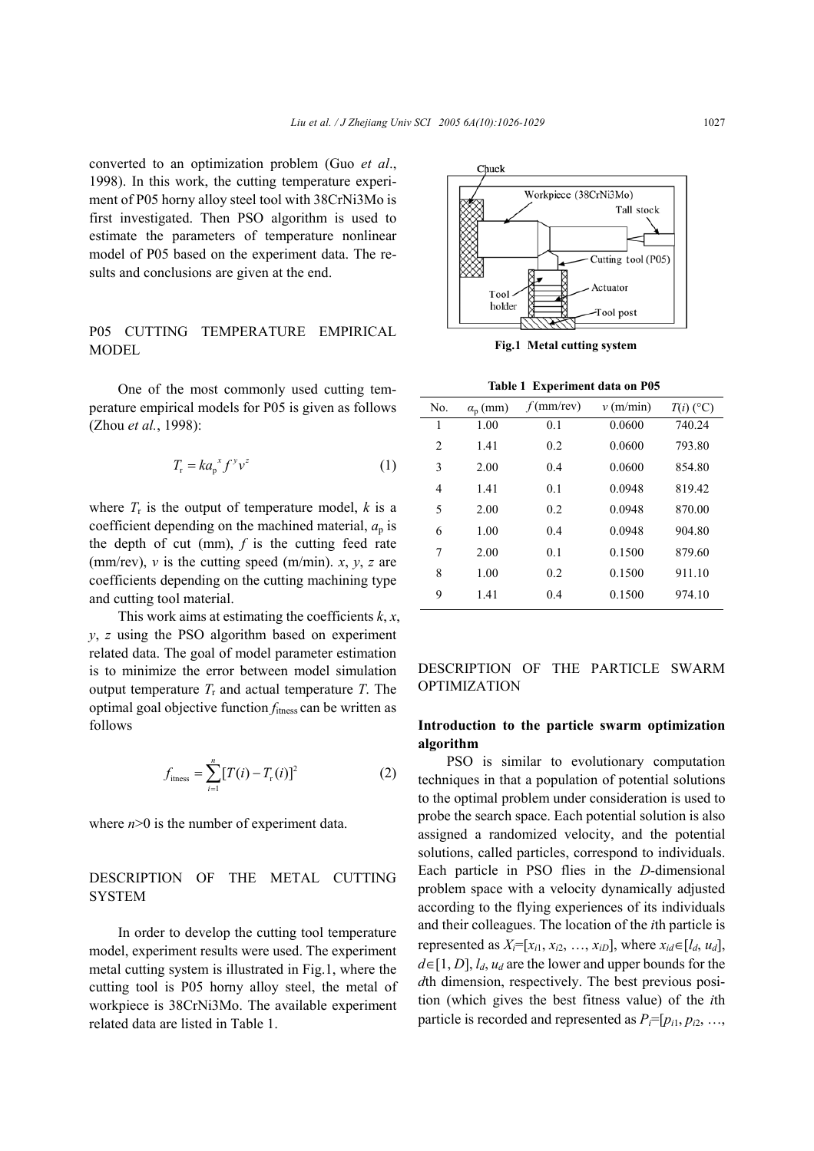converted to an optimization problem (Guo *et al*., 1998). In this work, the cutting temperature experiment of P05 horny alloy steel tool with 38CrNi3Mo is first investigated. Then PSO algorithm is used to estimate the parameters of temperature nonlinear model of P05 based on the experiment data. The results and conclusions are given at the end.

### P05 CUTTING TEMPERATURE EMPIRICAL MODEL

One of the most commonly used cutting temperature empirical models for P05 is given as follows (Zhou *et al.*, 1998):

$$
T_{\rm r} = k a_{\rm p}^{\ \ x} f^{\gamma} v^z \tag{1}
$$

where  $T_r$  is the output of temperature model,  $k$  is a coefficient depending on the machined material, *a*p is the depth of cut (mm), *f* is the cutting feed rate (mm/rev),  $\nu$  is the cutting speed (m/min).  $x$ ,  $\nu$ ,  $z$  are coefficients depending on the cutting machining type and cutting tool material.

This work aims at estimating the coefficients *k*, *x*, *y*, *z* using the PSO algorithm based on experiment related data. The goal of model parameter estimation is to minimize the error between model simulation output temperature  $T_r$  and actual temperature  $T$ . The optimal goal objective function *f*<sub>itness</sub> can be written as follows

$$
f_{\text{timess}} = \sum_{i=1}^{n} [T(i) - T_{\text{r}}(i)]^2
$$
 (2)

where  $n>0$  is the number of experiment data.

#### DESCRIPTION OF THE METAL CUTTING **SYSTEM**

In order to develop the cutting tool temperature model, experiment results were used. The experiment metal cutting system is illustrated in Fig.1, where the cutting tool is P05 horny alloy steel, the metal of workpiece is 38CrNi3Mo. The available experiment related data are listed in Table 1.



**Fig.1 Metal cutting system** 

**Table 1 Experiment data on P05** 

| No.            | $\alpha_{\rm p}$ (mm) | $f$ (mm/rev) | $\nu$ (m/min) | $T(i)$ (°C) |
|----------------|-----------------------|--------------|---------------|-------------|
| 1              | 1.00                  | 0.1          | 0.0600        | 740.24      |
| $\overline{c}$ | 1.41                  | 0.2          | 0.0600        | 793.80      |
| 3              | 2.00                  | 0.4          | 0.0600        | 854.80      |
| $\overline{4}$ | 1.41                  | 0.1          | 0.0948        | 819.42      |
| 5              | 2.00                  | 0.2          | 0.0948        | 870.00      |
| 6              | 1.00                  | 0.4          | 0.0948        | 904.80      |
| 7              | 2.00                  | 0.1          | 0.1500        | 879.60      |
| 8              | 1.00                  | 0.2          | 0.1500        | 911.10      |
| 9              | 1.41                  | 0.4          | 0.1500        | 974.10      |

DESCRIPTION OF THE PARTICLE SWARM OPTIMIZATION

#### **Introduction to the particle swarm optimization algorithm**

PSO is similar to evolutionary computation techniques in that a population of potential solutions to the optimal problem under consideration is used to probe the search space. Each potential solution is also assigned a randomized velocity, and the potential solutions, called particles, correspond to individuals. Each particle in PSO flies in the *D*-dimensional problem space with a velocity dynamically adjusted according to the flying experiences of its individuals and their colleagues. The location of the *i*th particle is represented as  $X_i = [x_{i1}, x_{i2}, ..., x_{iD}]$ , where  $x_{id} \in [l_d, u_d]$ ,  $d \in [1, D]$ ,  $l_d$ ,  $u_d$  are the lower and upper bounds for the *d*th dimension, respectively. The best previous position (which gives the best fitness value) of the *i*th particle is recorded and represented as  $P_i = [p_i, p_i, \ldots, p_i]$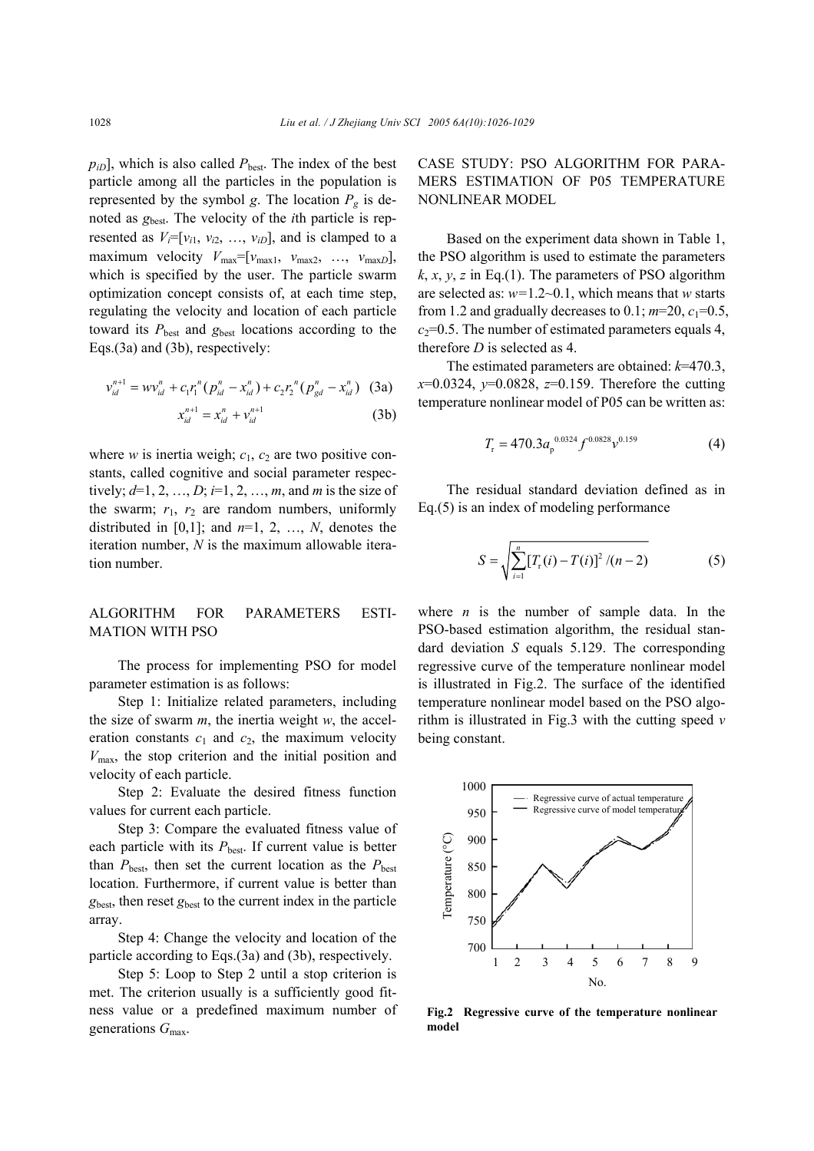$p_{iD}$ ], which is also called  $P_{\text{best}}$ . The index of the best particle among all the particles in the population is represented by the symbol *g*. The location  $P_g$  is denoted as *g*best. The velocity of the *i*th particle is represented as  $V_i=[v_{i1}, v_{i2}, ..., v_{iD}]$ , and is clamped to a maximum velocity  $V_{\text{max}}=[v_{\text{max1}}, v_{\text{max2}}, ..., v_{\text{maxD}}]$ , which is specified by the user. The particle swarm optimization concept consists of, at each time step, regulating the velocity and location of each particle toward its  $P_{\text{best}}$  and  $g_{\text{best}}$  locations according to the Eqs.(3a) and (3b), respectively:

$$
v_{id}^{n+1} = w v_{id}^{n} + c_1 r_1^{n} (p_{id}^{n} - x_{id}^{n}) + c_2 r_2^{n} (p_{gd}^{n} - x_{id}^{n})
$$
 (3a)

$$
x_{id}^{n+1} = x_{id}^n + v_{id}^{n+1}
$$
 (3b)

where  $w$  is inertia weigh;  $c_1$ ,  $c_2$  are two positive constants, called cognitive and social parameter respectively; *d*=1, 2, …, *D*; *i*=1, 2, …, *m*, and *m* is the size of the swarm;  $r_1$ ,  $r_2$  are random numbers, uniformly distributed in  $[0,1]$ ; and  $n=1, 2, \ldots, N$ , denotes the iteration number, *N* is the maximum allowable iteration number.

### ALGORITHM FOR PARAMETERS ESTI-MATION WITH PSO

The process for implementing PSO for model parameter estimation is as follows:

Step 1: Initialize related parameters, including the size of swarm *m*, the inertia weight *w*, the acceleration constants  $c_1$  and  $c_2$ , the maximum velocity  $V_{\text{max}}$ , the stop criterion and the initial position and velocity of each particle.

Step 2: Evaluate the desired fitness function values for current each particle.

Step 3: Compare the evaluated fitness value of each particle with its  $P_{\text{best}}$ . If current value is better than  $P_{\text{best}}$ , then set the current location as the  $P_{\text{best}}$ location. Furthermore, if current value is better than *g*best, then reset *g*best to the current index in the particle array.

Step 4: Change the velocity and location of the particle according to Eqs.(3a) and (3b), respectively.

Step 5: Loop to Step 2 until a stop criterion is met. The criterion usually is a sufficiently good fitness value or a predefined maximum number of generations *G*max.

## CASE STUDY: PSO ALGORITHM FOR PARA-MERS ESTIMATION OF P05 TEMPERATURE NONLINEAR MODEL

Based on the experiment data shown in Table 1, the PSO algorithm is used to estimate the parameters  $k, x, y, z$  in Eq.(1). The parameters of PSO algorithm are selected as: *w=*1.2~0.1, which means that *w* starts from 1.2 and gradually decreases to 0.1;  $m=20$ ,  $c_1=0.5$ ,  $c_2$ =0.5. The number of estimated parameters equals 4, therefore *D* is selected as 4.

The estimated parameters are obtained: *k*=470.3, *x*=0.0324, *y*=0.0828, *z*=0.159. Therefore the cutting temperature nonlinear model of P05 can be written as:

$$
T_{\rm r} = 470.3a_{\rm p}^{0.0324} f^{0.0828} v^{0.159} \tag{4}
$$

The residual standard deviation defined as in Eq.(5) is an index of modeling performance

$$
S = \sqrt{\sum_{i=1}^{n} [T_r(i) - T(i)]^2 / (n-2)}
$$
(5)

where  $n$  is the number of sample data. In the PSO-based estimation algorithm, the residual standard deviation *S* equals 5.129. The corresponding regressive curve of the temperature nonlinear model is illustrated in Fig.2. The surface of the identified temperature nonlinear model based on the PSO algorithm is illustrated in Fig.3 with the cutting speed *v* being constant.



**Fig.2 Regressive curve of the temperature nonlinear model**